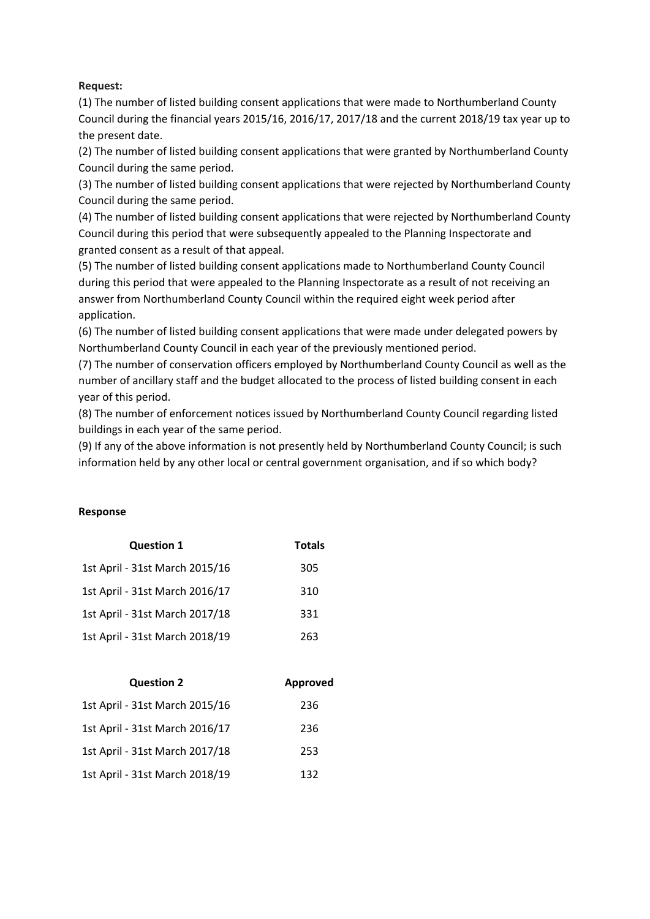## **Request:**

(1) The number of listed building consent applications that were made to Northumberland County Council during the financial years 2015/16, 2016/17, 2017/18 and the current 2018/19 tax year up to the present date.

(2) The number of listed building consent applications that were granted by Northumberland County Council during the same period.

(3) The number of listed building consent applications that were rejected by Northumberland County Council during the same period.

(4) The number of listed building consent applications that were rejected by Northumberland County Council during this period that were subsequently appealed to the Planning Inspectorate and granted consent as a result of that appeal.

(5) The number of listed building consent applications made to Northumberland County Council during this period that were appealed to the Planning Inspectorate as a result of not receiving an answer from Northumberland County Council within the required eight week period after application.

(6) The number of listed building consent applications that were made under delegated powers by Northumberland County Council in each year of the previously mentioned period.

(7) The number of conservation officers employed by Northumberland County Council as well as the number of ancillary staff and the budget allocated to the process of listed building consent in each year of this period.

(8) The number of enforcement notices issued by Northumberland County Council regarding listed buildings in each year of the same period.

(9) If any of the above information is not presently held by Northumberland County Council; is such information held by any other local or central government organisation, and if so which body?

## **Response**

| <b>Question 1</b>              | <b>Totals</b> |
|--------------------------------|---------------|
| 1st April - 31st March 2015/16 | 305           |
| 1st April - 31st March 2016/17 | 310           |
| 1st April - 31st March 2017/18 | 331           |
| 1st April - 31st March 2018/19 | 263           |

| <b>Question 2</b>              | Approved |
|--------------------------------|----------|
| 1st April - 31st March 2015/16 | 236      |
| 1st April - 31st March 2016/17 | 236      |
| 1st April - 31st March 2017/18 | 253      |
| 1st April - 31st March 2018/19 | 132      |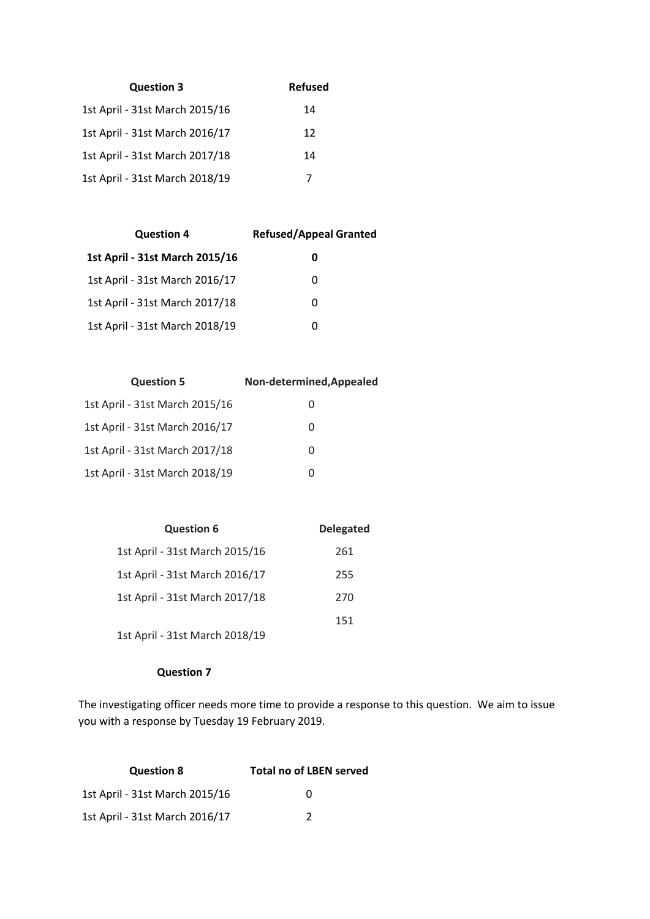| <b>Question 3</b>              | <b>Refused</b> |
|--------------------------------|----------------|
| 1st April - 31st March 2015/16 | 14             |
| 1st April - 31st March 2016/17 | 12             |
| 1st April - 31st March 2017/18 | 14             |
| 1st April - 31st March 2018/19 | 7              |

| <b>Refused/Appeal Granted</b><br><b>Question 4</b> |   |
|----------------------------------------------------|---|
| 1st April - 31st March 2015/16                     | 0 |
| 1st April - 31st March 2016/17                     | 0 |
| 1st April - 31st March 2017/18                     | 0 |
| 1st April - 31st March 2018/19                     | 0 |

| <b>Question 5</b>              | Non-determined, Appealed |
|--------------------------------|--------------------------|
| 1st April - 31st March 2015/16 | $\cup$                   |
| 1st April - 31st March 2016/17 | $\Omega$                 |
| 1st April - 31st March 2017/18 | $\Omega$                 |
| 1st April - 31st March 2018/19 | $\Omega$                 |

| <b>Question 6</b>              | <b>Delegated</b> |
|--------------------------------|------------------|
| 1st April - 31st March 2015/16 | 261              |
| 1st April - 31st March 2016/17 | 255              |
| 1st April - 31st March 2017/18 | 270              |
|                                | 151              |
| 1st April - 31st March 2018/19 |                  |

## **Question 7**

The investigating officer needs more time to provide a response to this question. We aim to issue you with a response by Tuesday 19 February 2019.

| <b>Question 8</b>              | <b>Total no of LBEN served</b> |
|--------------------------------|--------------------------------|
| 1st April - 31st March 2015/16 | $^{\prime}$                    |
| 1st April - 31st March 2016/17 | 7                              |